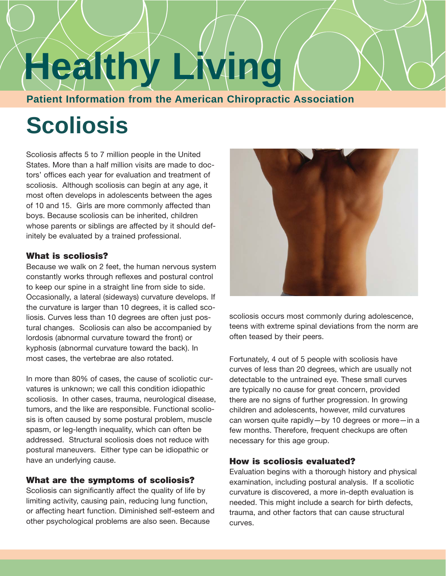# **Healthy Living**

**Patient Information from the American Chiropractic Association**

# **Scoliosis**

Scoliosis affects 5 to 7 million people in the United States. More than a half million visits are made to doctors' offices each year for evaluation and treatment of scoliosis. Although scoliosis can begin at any age, it most often develops in adolescents between the ages of 10 and 15. Girls are more commonly affected than boys. Because scoliosis can be inherited, children whose parents or siblings are affected by it should definitely be evaluated by a trained professional.

## **What is scoliosis?**

Because we walk on 2 feet, the human nervous system constantly works through reflexes and postural control to keep our spine in a straight line from side to side. Occasionally, a lateral (sideways) curvature develops. If the curvature is larger than 10 degrees, it is called scoliosis. Curves less than 10 degrees are often just postural changes. Scoliosis can also be accompanied by lordosis (abnormal curvature toward the front) or kyphosis (abnormal curvature toward the back). In most cases, the vertebrae are also rotated.

In more than 80% of cases, the cause of scoliotic curvatures is unknown; we call this condition idiopathic scoliosis. In other cases, trauma, neurological disease, tumors, and the like are responsible. Functional scoliosis is often caused by some postural problem, muscle spasm, or leg-length inequality, which can often be addressed. Structural scoliosis does not reduce with postural maneuvers. Either type can be idiopathic or have an underlying cause.

#### **What are the symptoms of scoliosis?**

Scoliosis can significantly affect the quality of life by limiting activity, causing pain, reducing lung function, or affecting heart function. Diminished self-esteem and other psychological problems are also seen. Because



scoliosis occurs most commonly during adolescence, teens with extreme spinal deviations from the norm are often teased by their peers.

Fortunately, 4 out of 5 people with scoliosis have curves of less than 20 degrees, which are usually not detectable to the untrained eye. These small curves are typically no cause for great concern, provided there are no signs of further progression. In growing children and adolescents, however, mild curvatures can worsen quite rapidly—by 10 degrees or more—in a few months. Therefore, frequent checkups are often necessary for this age group.

## **How is scoliosis evaluated?**

Evaluation begins with a thorough history and physical examination, including postural analysis. If a scoliotic curvature is discovered, a more in-depth evaluation is needed. This might include a search for birth defects, trauma, and other factors that can cause structural curves.